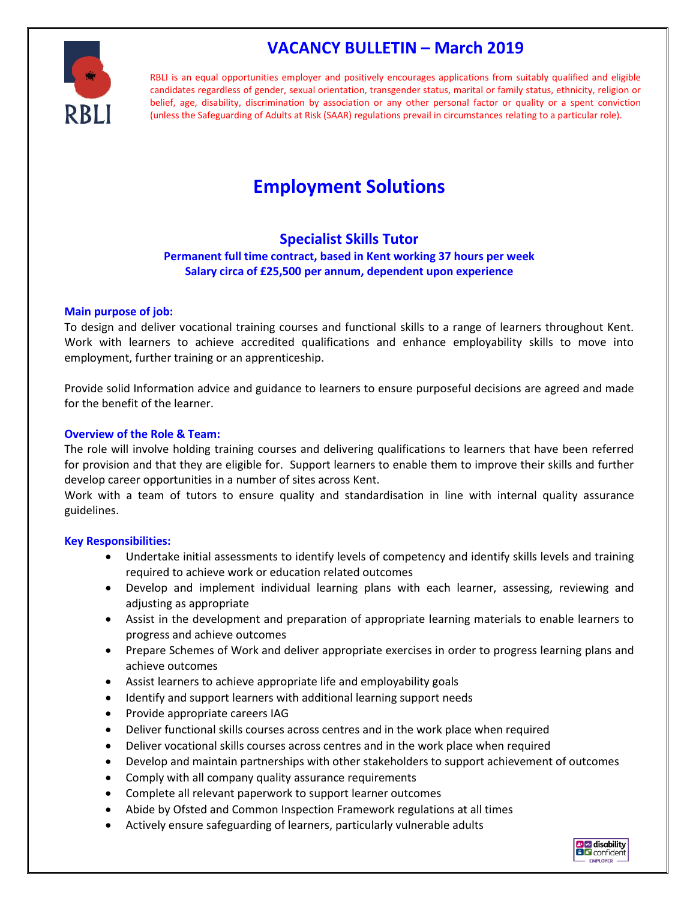# **VACANCY BULLETIN – March 2019**

RBLI is an equal opportunities employer and positively encourages applications from suitably qualified and eligible candidates regardless of gender, sexual orientation, transgender status, marital or family status, ethnicity, religion or belief, age, disability, discrimination by association or any other personal factor or quality or a spent conviction (unless the Safeguarding of Adults at Risk (SAAR) regulations prevail in circumstances relating to a particular role).

# **Employment Solutions**

## **Specialist Skills Tutor**

### **Permanent full time contract, based in Kent working 37 hours per week Salary circa of £25,500 per annum, dependent upon experience**

#### **Main purpose of job:**

To design and deliver vocational training courses and functional skills to a range of learners throughout Kent. Work with learners to achieve accredited qualifications and enhance employability skills to move into employment, further training or an apprenticeship.

Provide solid Information advice and guidance to learners to ensure purposeful decisions are agreed and made for the benefit of the learner.

#### **Overview of the Role & Team:**

The role will involve holding training courses and delivering qualifications to learners that have been referred for provision and that they are eligible for. Support learners to enable them to improve their skills and further develop career opportunities in a number of sites across Kent.

Work with a team of tutors to ensure quality and standardisation in line with internal quality assurance guidelines.

#### **Key Responsibilities:**

- Undertake initial assessments to identify levels of competency and identify skills levels and training required to achieve work or education related outcomes
- Develop and implement individual learning plans with each learner, assessing, reviewing and adjusting as appropriate
- Assist in the development and preparation of appropriate learning materials to enable learners to progress and achieve outcomes
- Prepare Schemes of Work and deliver appropriate exercises in order to progress learning plans and achieve outcomes
- Assist learners to achieve appropriate life and employability goals
- Identify and support learners with additional learning support needs
- Provide appropriate careers IAG
- Deliver functional skills courses across centres and in the work place when required
- Deliver vocational skills courses across centres and in the work place when required
- Develop and maintain partnerships with other stakeholders to support achievement of outcomes
- Comply with all company quality assurance requirements
- Complete all relevant paperwork to support learner outcomes
- Abide by Ofsted and Common Inspection Framework regulations at all times
- Actively ensure safeguarding of learners, particularly vulnerable adults

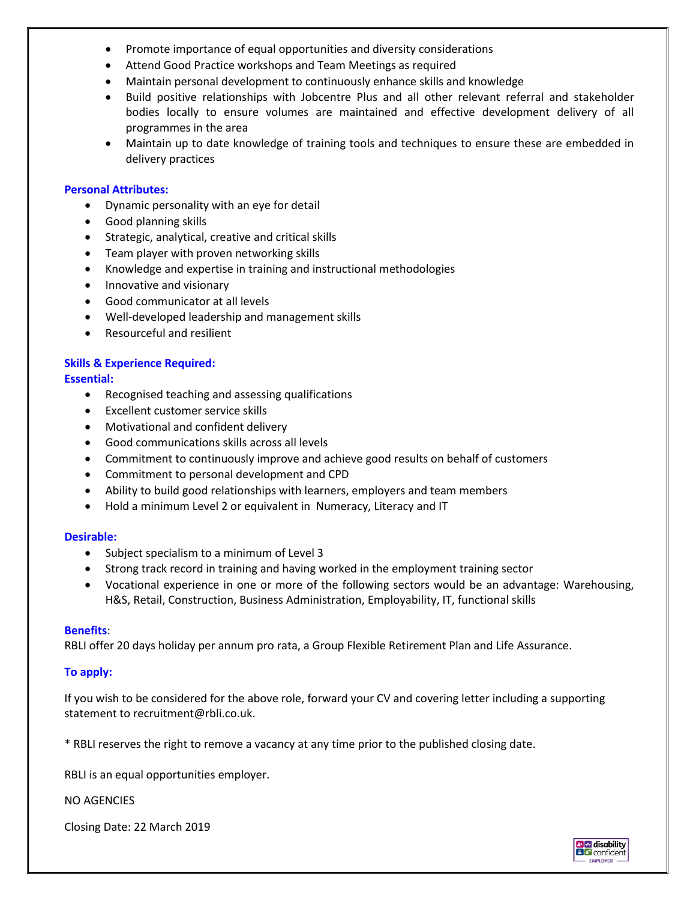- Promote importance of equal opportunities and diversity considerations
- Attend Good Practice workshops and Team Meetings as required
- Maintain personal development to continuously enhance skills and knowledge
- Build positive relationships with Jobcentre Plus and all other relevant referral and stakeholder bodies locally to ensure volumes are maintained and effective development delivery of all programmes in the area
- Maintain up to date knowledge of training tools and techniques to ensure these are embedded in delivery practices

#### **Personal Attributes:**

- Dynamic personality with an eye for detail
- Good planning skills
- Strategic, analytical, creative and critical skills
- Team player with proven networking skills
- Knowledge and expertise in training and instructional methodologies
- Innovative and visionary
- Good communicator at all levels
- Well-developed leadership and management skills
- Resourceful and resilient

#### **Skills & Experience Required:**

#### **Essential:**

- Recognised teaching and assessing qualifications
- Excellent customer service skills
- Motivational and confident delivery
- Good communications skills across all levels
- Commitment to continuously improve and achieve good results on behalf of customers
- Commitment to personal development and CPD
- Ability to build good relationships with learners, employers and team members
- Hold a minimum Level 2 or equivalent in Numeracy, Literacy and IT

#### **Desirable:**

- Subject specialism to a minimum of Level 3
- Strong track record in training and having worked in the employment training sector
- Vocational experience in one or more of the following sectors would be an advantage: Warehousing, H&S, Retail, Construction, Business Administration, Employability, IT, functional skills

#### **Benefits**:

RBLI offer 20 days holiday per annum pro rata, a Group Flexible Retirement Plan and Life Assurance.

#### **To apply:**

If you wish to be considered for the above role, forward your CV and covering letter including a supporting statement to recruitment@rbli.co.uk.

\* RBLI reserves the right to remove a vacancy at any time prior to the published closing date.

RBLI is an equal opportunities employer.

NO AGENCIES

Closing Date: 22 March 2019